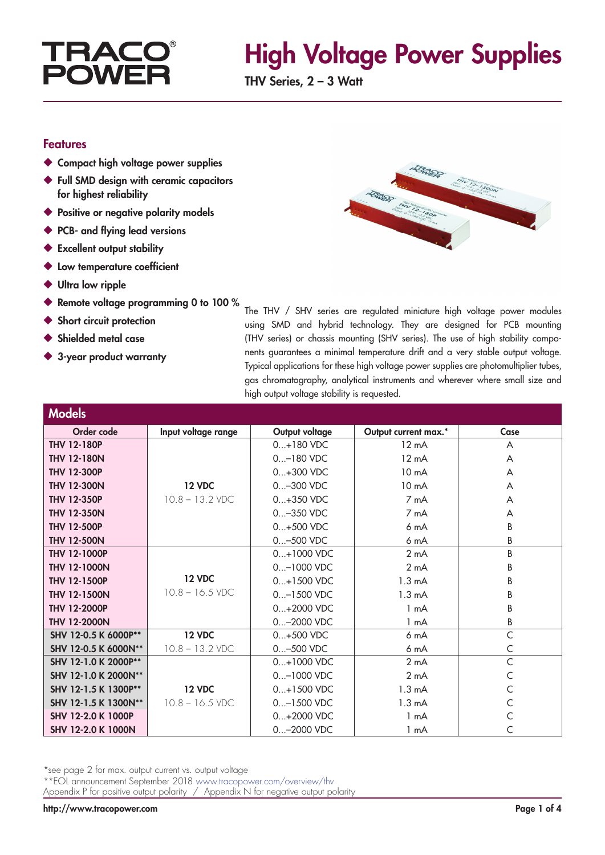

## High Voltage Power Supplies

THV Series, 2 – 3 Watt

#### Features

- ◆ Compact high voltage power supplies
- ◆ Full SMD design with ceramic capacitors for highest reliability
- ◆ Positive or negative polarity models
- ◆ PCB- and flying lead versions
- ◆ Excellent output stability
- ◆ Low temperature coefficient
- ◆ Ultra low ripple
- ◆ Remote voltage programming 0 to 100 %
- Short circuit protection
- Shielded metal case

**Model** 

◆ 3-year product warranty

The THV / SHV series are regulated miniature high voltage power modules using SMD and hybrid technology. They are designed for PCB mounting (THV series) or chassis mounting (SHV series). The use of high stability components guarantees a minimal temperature drift and a very stable output voltage. Typical applications for these high voltage power supplies are photomultiplier tubes, gas chromatography, analytical instruments and wherever where small size and high output voltage stability is requested.

| MUUCIS               |                     |                |                      |      |
|----------------------|---------------------|----------------|----------------------|------|
| Order code           | Input voltage range | Output voltage | Output current max.* | Case |
| <b>THV 12-180P</b>   |                     | $0+180$ VDC    | $12 \text{ mA}$      | A    |
| <b>THV 12-180N</b>   |                     | $0$ -180 VDC   | $12 \text{ mA}$      | A    |
| <b>THV 12-300P</b>   |                     | $0+300$ VDC    | 10 <sub>m</sub> A    | A    |
| <b>THV 12-300N</b>   | <b>12 VDC</b>       | 0-300 VDC      | 10 <sub>m</sub> A    | A    |
| <b>THV 12-350P</b>   | $10.8 - 13.2$ VDC   | $0+350$ VDC    | 7 mA                 | A    |
| <b>THV 12-350N</b>   |                     | 0-350 VDC      | 7 mA                 | A    |
| <b>THV 12-500P</b>   |                     | $0+500$ VDC    | 6 <sub>m</sub> A     | B    |
| <b>THV 12-500N</b>   |                     | 0-500 VDC      | 6 <sub>m</sub> A     | B    |
| <b>THV 12-1000P</b>  |                     | 0+1000 VDC     | 2 <sub>m</sub> A     | B    |
| <b>THV 12-1000N</b>  |                     | 0-1000 VDC     | 2 <sub>m</sub> A     | В    |
| <b>THV 12-1500P</b>  | <b>12 VDC</b>       | 0+1500 VDC     | $1.3 \text{ mA}$     | B    |
| <b>THV 12-1500N</b>  | $10.8 - 16.5$ VDC   | $0$ -1500 VDC  | 1.3 <sub>m</sub> A   | B    |
| <b>THV 12-2000P</b>  |                     | $0+2000$ VDC   | 1 mA                 | B    |
| <b>THV 12-2000N</b>  |                     | 0-2000 VDC     | 1 mA                 | В    |
| SHV 12-0.5 K 6000P** | <b>12 VDC</b>       | $0+500$ VDC    | 6 <sub>m</sub> A     | C    |
| SHV 12-0.5 K 6000N** | $10.8 - 13.2$ VDC   | 0-500 VDC      | 6 mA                 | C    |
| SHV 12-1.0 K 2000P** |                     | 0+1000 VDC     | 2 <sub>m</sub> A     | C    |
| SHV 12-1.0 K 2000N** |                     | 0-1000 VDC     | 2 <sub>m</sub> A     |      |
| SHV 12-1.5 K 1300P** | <b>12 VDC</b>       | 0+1500 VDC     | $1.3 \text{ mA}$     |      |
| SHV 12-1.5 K 1300N** | $10.8 - 16.5$ VDC   | 0-1500 VDC     | $1.3 \text{ mA}$     | C    |
| SHV 12-2.0 K 1000P   |                     | $0+2000$ VDC   | 1 mA                 |      |
| SHV 12-2.0 K 1000N   |                     | 0-2000 VDC     | 1 mA                 |      |

\*see page 2 for max. output current vs. output voltage

\*\*EOL announcement September 2018 www.tracopower.com/overview/thv

Appendix P for positive output polarity / Appendix N for negative output polarity

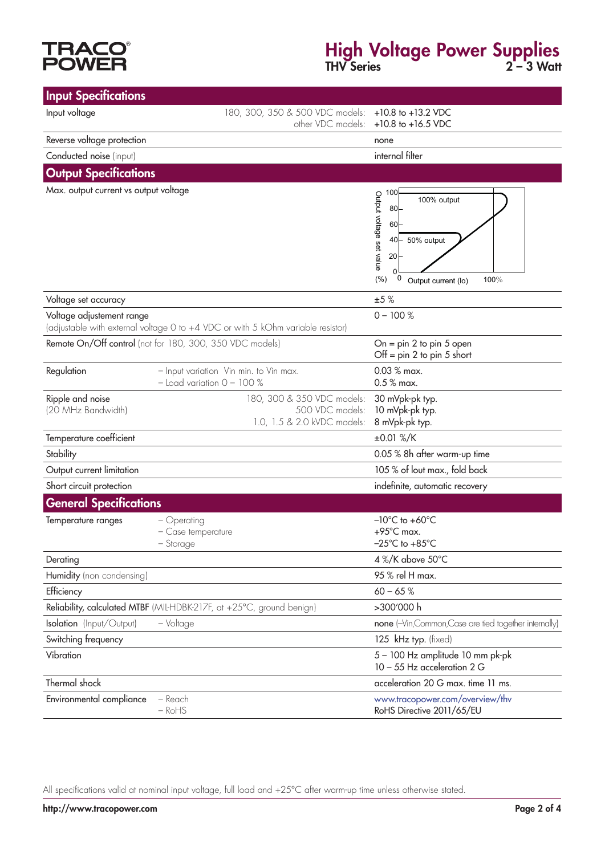# **TRACO<br>POWER**

#### High Voltage Power Supplies THV Series 2 – 3 Watt

| <b>Input Specifications</b>            |                                                                                 |                                                                                                                                                                                      |  |
|----------------------------------------|---------------------------------------------------------------------------------|--------------------------------------------------------------------------------------------------------------------------------------------------------------------------------------|--|
| Input voltage                          | 180, 300, 350 & 500 VDC models:<br>other VDC models:                            | $+10.8$ to $+13.2$ VDC<br>$+10.8$ to $+16.5$ VDC                                                                                                                                     |  |
| Reverse voltage protection             |                                                                                 | none                                                                                                                                                                                 |  |
| Conducted noise (input)                |                                                                                 | internal filter                                                                                                                                                                      |  |
| <b>Output Specifications</b>           |                                                                                 |                                                                                                                                                                                      |  |
| Max. output current vs output voltage  |                                                                                 | 100<br>Output voltage set value<br>100% output<br>80 <sub>1</sub><br>60 <sub>1</sub><br>50% output<br>40⊢<br>20 <sub>1</sub><br>$\Omega$<br>(% )<br>0<br>100%<br>Output current (lo) |  |
| Voltage set accuracy                   |                                                                                 | ±5%                                                                                                                                                                                  |  |
| Voltage adjustement range              | (adjustable with external voltage 0 to +4 VDC or with 5 kOhm variable resistor) | $0 - 100 %$                                                                                                                                                                          |  |
|                                        | Remote On/Off control (not for 180, 300, 350 VDC models)                        | On = $pin 2$ to $pin 5$ open<br>Off = $pin 2$ to $pin 5$ short                                                                                                                       |  |
| Regulation                             | - Input variation Vin min. to Vin max.<br>$-$ Load variation $0 - 100$ %        | 0.03 % max.<br>0.5 % max.                                                                                                                                                            |  |
| Ripple and noise<br>(20 MHz Bandwidth) | 180, 300 & 350 VDC models:<br>500 VDC models:<br>1.0, 1.5 & 2.0 kVDC models:    | 30 mVpk-pk typ.<br>10 mVpk-pk typ.<br>8 mVpk-pk typ.                                                                                                                                 |  |
| Temperature coefficient                |                                                                                 | ±0.01 %/K                                                                                                                                                                            |  |
| Stability                              |                                                                                 | 0.05 % 8h after warm-up time                                                                                                                                                         |  |
| Output current limitation              |                                                                                 | 105 % of lout max., fold back                                                                                                                                                        |  |
| Short circuit protection               |                                                                                 | indefinite, automatic recovery                                                                                                                                                       |  |
| <b>General Specifications</b>          |                                                                                 |                                                                                                                                                                                      |  |
| Temperature ranges                     | - Operating<br>- Case temperature<br>– Storage                                  | $-10^{\circ}$ C to $+60^{\circ}$ C<br>$+95^{\circ}$ C max.<br>$-25^{\circ}$ C to $+85^{\circ}$ C                                                                                     |  |
| Derating                               |                                                                                 | 4 %/K above 50°C                                                                                                                                                                     |  |
| Humidity (non condensing)              |                                                                                 | 95 % rel H max.                                                                                                                                                                      |  |
| Efficiency                             |                                                                                 | $60 - 65%$                                                                                                                                                                           |  |
|                                        | Reliability, calculated MTBF (MIL-HDBK-217F, at +25°C, ground benign)           | >300'000 h                                                                                                                                                                           |  |
| Isolation (Input/Output)               | - Voltage                                                                       | none (-Vin, Common, Case are tied together internally)                                                                                                                               |  |
| Switching frequency                    |                                                                                 | 125 kHz typ. (fixed)                                                                                                                                                                 |  |
| Vibration                              |                                                                                 | 5 - 100 Hz amplitude 10 mm pk-pk<br>10 - 55 Hz acceleration 2 G                                                                                                                      |  |
| Thermal shock                          |                                                                                 | acceleration 20 G max. time 11 ms.                                                                                                                                                   |  |
| Environmental compliance               | - Reach<br>$-RoHS$                                                              | www.tracopower.com/overview/thv<br>RoHS Directive 2011/65/EU                                                                                                                         |  |

All specifications valid at nominal input voltage, full load and +25°C after warm-up time unless otherwise stated.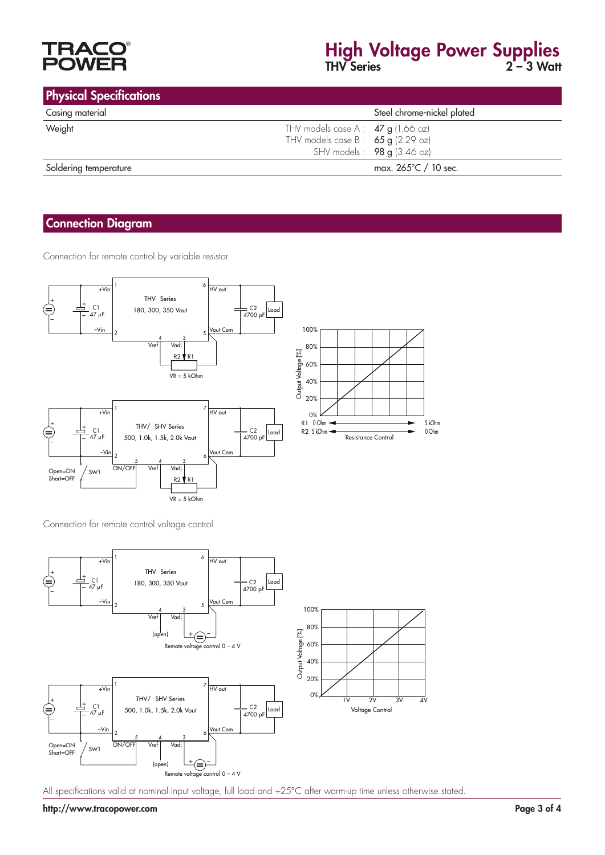

## High Voltage Power Supplies THV Series 2 – 3 Watt

|  |  | <b>Physical Specifications</b> |
|--|--|--------------------------------|
|  |  |                                |

| <b>Privated Specifications</b> |                                      |                              |
|--------------------------------|--------------------------------------|------------------------------|
| Casing material                |                                      | Steel chrome-nickel plated   |
| Weight                         | THV models case A : $47 g$ (1.66 oz) |                              |
|                                | THV models case B : $65 g$ (2.29 oz) |                              |
|                                |                                      | SHV models: $98 g$ (3.46 oz) |
| Soldering temperature          |                                      | max. 265°C / 10 sec.         |

#### Connection Diagram

Connection for remote control by variable resistor







All specifications valid at nominal input voltage, full load and +25°C after warm-up time unless otherwise stated.